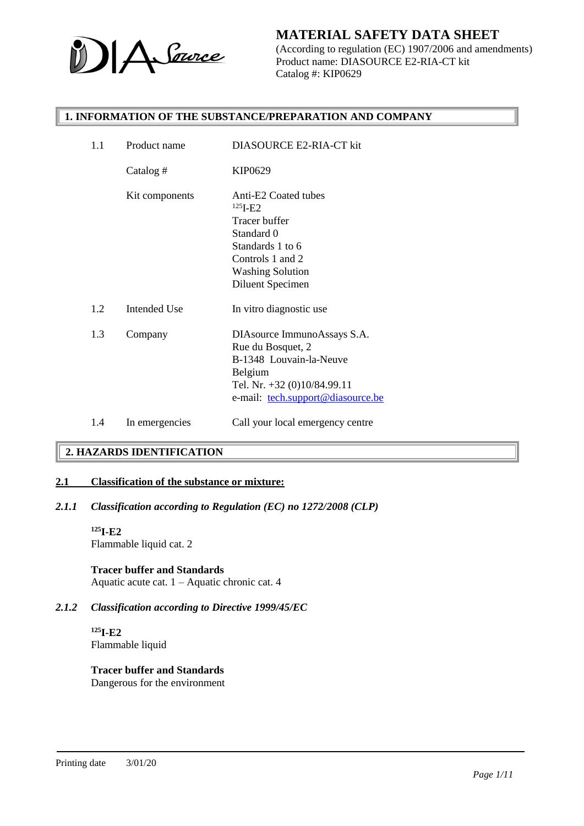

(According to regulation (EC) 1907/2006 and amendments) Product name: DIASOURCE E2-RIA-CT kit Catalog #: KIP0629

#### **1. INFORMATION OF THE SUBSTANCE/PREPARATION AND COMPANY**

| 1.1 | Product name        | <b>DIASOURCE E2-RIA-CT kit</b>                                                                                                                                  |
|-----|---------------------|-----------------------------------------------------------------------------------------------------------------------------------------------------------------|
|     | Catalog #           | KIP0629                                                                                                                                                         |
|     | Kit components      | Anti-E2 Coated tubes<br>$125$ <b>I-E2</b><br>Tracer buffer<br>Standard 0<br>Standards 1 to 6<br>Controls 1 and 2<br><b>Washing Solution</b><br>Diluent Specimen |
| 1.2 | <b>Intended Use</b> | In vitro diagnostic use                                                                                                                                         |
| 1.3 | Company             | DIAsource ImmunoAssays S.A.<br>Rue du Bosquet, 2<br>B-1348 Louvain-la-Neuve<br>Belgium<br>Tel. Nr. +32 (0)10/84.99.11<br>e-mail: tech.support@diasource.be      |
| 1.4 | In emergencies      | Call your local emergency centre                                                                                                                                |

## **2. HAZARDS IDENTIFICATION**

### **2.1 Classification of the substance or mixture:**

#### *2.1.1 Classification according to Regulation (EC) no 1272/2008 (CLP)*

#### **<sup>125</sup>I-E2**

Flammable liquid cat. 2

#### **Tracer buffer and Standards**

Aquatic acute cat. 1 – Aquatic chronic cat. 4

## *2.1.2 Classification according to Directive 1999/45/EC*

**<sup>125</sup>I-E2** Flammable liquid

# **Tracer buffer and Standards**

Dangerous for the environment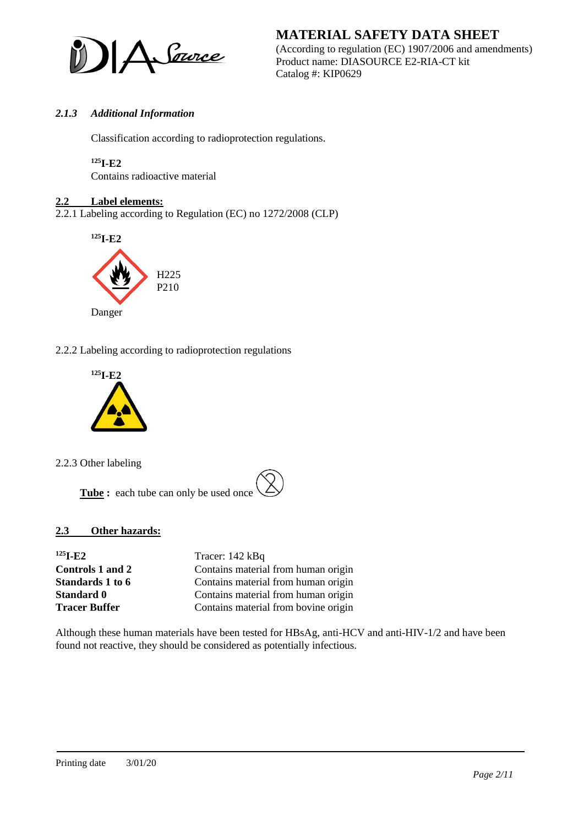

**MATERIAL SAFETY DATA SHEET** (According to regulation (EC) 1907/2006 and amendments) Product name: DIASOURCE E2-RIA-CT kit Catalog #: KIP0629

# *2.1.3 Additional Information*

Classification according to radioprotection regulations.

#### **<sup>125</sup>I-E2**

Contains radioactive material

### **2.2 Label elements:**

2.2.1 Labeling according to Regulation (EC) no 1272/2008 (CLP)



2.2.2 Labeling according to radioprotection regulations



2.2.3 Other labeling

**Tube :** each tube can only be used once

## **2.3 Other hazards:**

| $125$ <b>I</b> -E <sub>2</sub> | Tracer: 142 kBq                      |
|--------------------------------|--------------------------------------|
| <b>Controls 1 and 2</b>        | Contains material from human origin  |
| Standards 1 to 6               | Contains material from human origin  |
| <b>Standard 0</b>              | Contains material from human origin  |
| <b>Tracer Buffer</b>           | Contains material from bovine origin |

Although these human materials have been tested for HBsAg, anti-HCV and anti-HIV-1/2 and have been found not reactive, they should be considered as potentially infectious.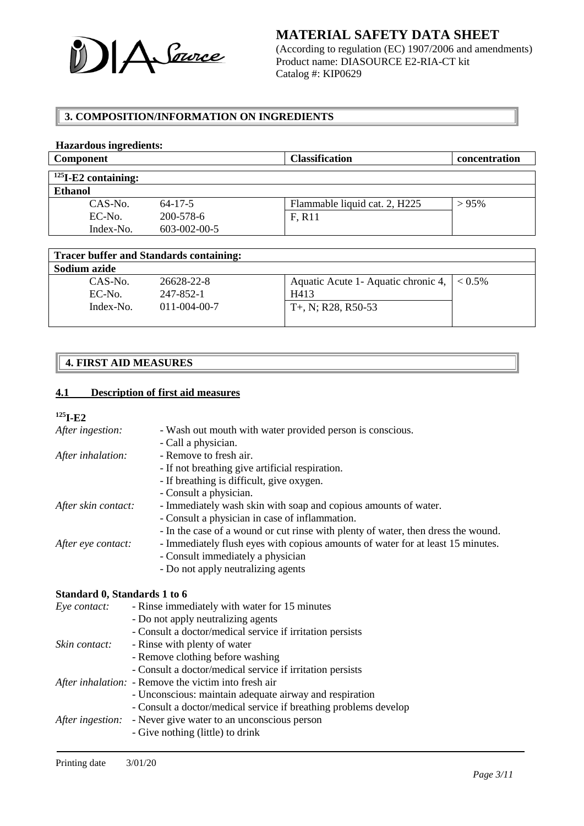

(According to regulation (EC) 1907/2006 and amendments) Product name: DIASOURCE E2-RIA-CT kit Catalog #: KIP0629

## **3. COMPOSITION/INFORMATION ON INGREDIENTS**

#### **Hazardous ingredients: Component Classification concentration <sup>125</sup>I-E2 containing: Ethanol** CAS-No. 64-17-5 EC-No. 200-578-6 Index-No. 603-002-00-5 Flammable liquid cat. 2,  $H225$   $> 95\%$ F, R11

| <b>Tracer buffer and Standards containing:</b> |                      |                                                |  |
|------------------------------------------------|----------------------|------------------------------------------------|--|
| Sodium azide                                   |                      |                                                |  |
| $CAS-N0$ .                                     | 26628-22-8           | Aquatic Acute 1- Aquatic chronic 4, $ $ < 0.5% |  |
| EC-No.                                         | 247-852-1            | H413                                           |  |
| Index-No.                                      | $011 - 004 - 00 - 7$ | $T+$ , N; R28, R50-53                          |  |
|                                                |                      |                                                |  |

# **4. FIRST AID MEASURES**

# **4.1 Description of first aid measures**

### **<sup>125</sup>I-E2**

| After ingestion:    | - Wash out mouth with water provided person is conscious.                         |  |
|---------------------|-----------------------------------------------------------------------------------|--|
|                     | - Call a physician.                                                               |  |
| After inhalation:   | - Remove to fresh air.                                                            |  |
|                     | - If not breathing give artificial respiration.                                   |  |
|                     | - If breathing is difficult, give oxygen.                                         |  |
|                     | - Consult a physician.                                                            |  |
| After skin contact: | - Immediately wash skin with soap and copious amounts of water.                   |  |
|                     | - Consult a physician in case of inflammation.                                    |  |
|                     | - In the case of a wound or cut rinse with plenty of water, then dress the wound. |  |
| After eye contact:  | - Immediately flush eyes with copious amounts of water for at least 15 minutes.   |  |
|                     | - Consult immediately a physician                                                 |  |
|                     | - Do not apply neutralizing agents                                                |  |
|                     |                                                                                   |  |

#### **Standard 0, Standards 1 to 6**

| Eye contact:  | - Rinse immediately with water for 15 minutes                       |  |
|---------------|---------------------------------------------------------------------|--|
|               | - Do not apply neutralizing agents                                  |  |
|               | - Consult a doctor/medical service if irritation persists           |  |
| Skin contact: | - Rinse with plenty of water                                        |  |
|               | - Remove clothing before washing                                    |  |
|               | - Consult a doctor/medical service if irritation persists           |  |
|               | After inhalation: - Remove the victim into fresh air                |  |
|               | - Unconscious: maintain adequate airway and respiration             |  |
|               | - Consult a doctor/medical service if breathing problems develop    |  |
|               | <i>After ingestion:</i> - Never give water to an unconscious person |  |
|               | - Give nothing (little) to drink                                    |  |
|               |                                                                     |  |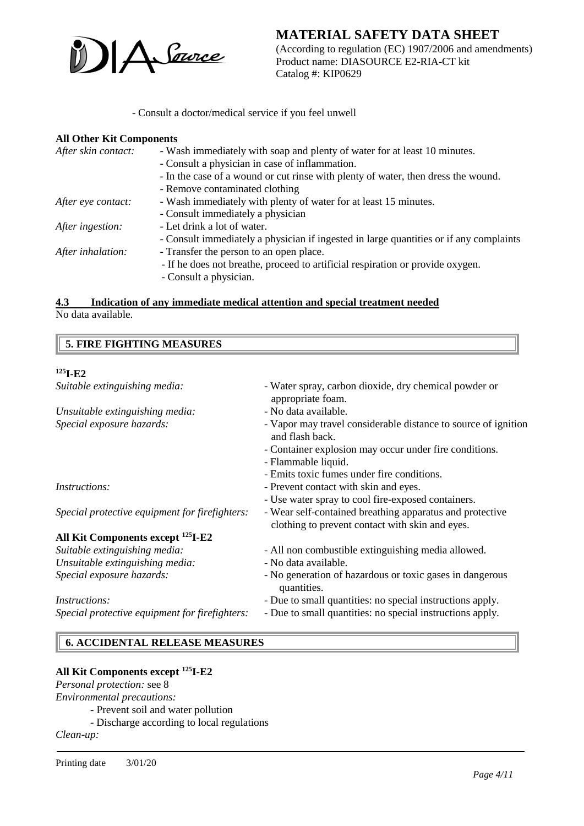

(According to regulation (EC) 1907/2006 and amendments) Product name: DIASOURCE E2-RIA-CT kit Catalog #: KIP0629

- Consult a doctor/medical service if you feel unwell

#### **All Other Kit Components**

| After skin contact: | - Wash immediately with soap and plenty of water for at least 10 minutes.              |  |
|---------------------|----------------------------------------------------------------------------------------|--|
|                     | - Consult a physician in case of inflammation.                                         |  |
|                     | - In the case of a wound or cut rinse with plenty of water, then dress the wound.      |  |
|                     | - Remove contaminated clothing                                                         |  |
| After eye contact:  | - Wash immediately with plenty of water for at least 15 minutes.                       |  |
|                     | - Consult immediately a physician                                                      |  |
| After ingestion:    | - Let drink a lot of water.                                                            |  |
|                     | - Consult immediately a physician if ingested in large quantities or if any complaints |  |
| After inhalation:   | - Transfer the person to an open place.                                                |  |
|                     | - If he does not breathe, proceed to artificial respiration or provide oxygen.         |  |
|                     | - Consult a physician.                                                                 |  |
|                     |                                                                                        |  |

#### **4.3 Indication of any immediate medical attention and special treatment needed** No data available.

 **5. FIRE FIGHTING MEASURES**

### **<sup>125</sup>I-E2**

| Suitable extinguishing media:                  | - Water spray, carbon dioxide, dry chemical powder or<br>appropriate foam.                                  |
|------------------------------------------------|-------------------------------------------------------------------------------------------------------------|
| Unsuitable extinguishing media:                | - No data available.                                                                                        |
| Special exposure hazards:                      | - Vapor may travel considerable distance to source of ignition<br>and flash back.                           |
|                                                | - Container explosion may occur under fire conditions.                                                      |
|                                                | - Flammable liquid.                                                                                         |
|                                                | - Emits toxic fumes under fire conditions.                                                                  |
| <i>Instructions:</i>                           | - Prevent contact with skin and eyes.                                                                       |
|                                                | - Use water spray to cool fire-exposed containers.                                                          |
| Special protective equipment for firefighters: | - Wear self-contained breathing apparatus and protective<br>clothing to prevent contact with skin and eyes. |
| All Kit Components except <sup>125</sup> I-E2  |                                                                                                             |
| Suitable extinguishing media:                  | - All non combustible extinguishing media allowed.                                                          |
| Unsuitable extinguishing media:                | - No data available.                                                                                        |
| Special exposure hazards:                      | - No generation of hazardous or toxic gases in dangerous<br>quantities.                                     |
| <i>Instructions:</i>                           | - Due to small quantities: no special instructions apply.                                                   |
| Special protective equipment for firefighters: | - Due to small quantities: no special instructions apply.                                                   |

## **6. ACCIDENTAL RELEASE MEASURES**

### **All Kit Components except <sup>125</sup>I-E2**

*Personal protection:* see 8

*Environmental precautions:*

- *-* Prevent soil and water pollution
- Discharge according to local regulations

*Clean-up:*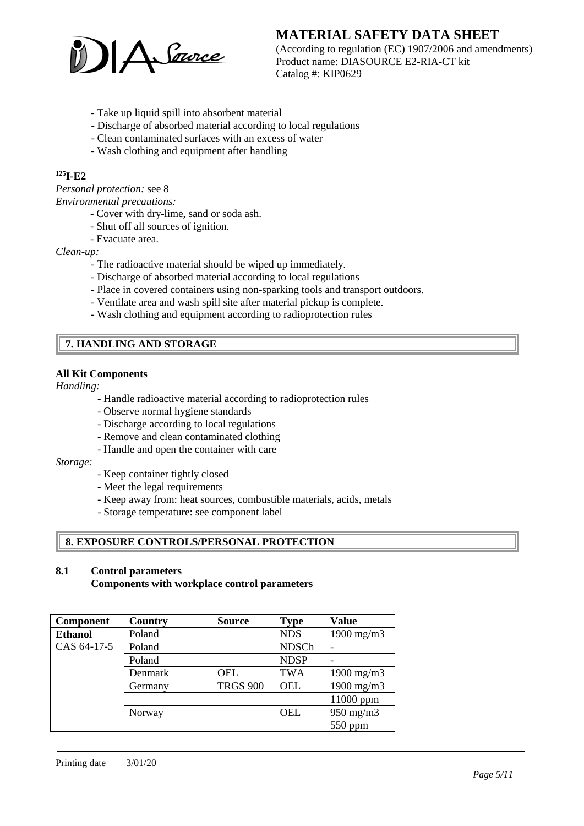

(According to regulation (EC) 1907/2006 and amendments) Product name: DIASOURCE E2-RIA-CT kit Catalog #: KIP0629

- Take up liquid spill into absorbent material
- Discharge of absorbed material according to local regulations
- Clean contaminated surfaces with an excess of water
- Wash clothing and equipment after handling

# **<sup>125</sup>I-E2**

*Personal protection:* see 8

*Environmental precautions:*

- Cover with dry-lime, sand or soda ash.
- Shut off all sources of ignition.
- Evacuate area.

*Clean-up:*

- The radioactive material should be wiped up immediately.
- Discharge of absorbed material according to local regulations
- Place in covered containers using non-sparking tools and transport outdoors.
- Ventilate area and wash spill site after material pickup is complete.
- Wash clothing and equipment according to radioprotection rules

# **7. HANDLING AND STORAGE**

#### **All Kit Components**

*Handling:*

- Handle radioactive material according to radioprotection rules
- Observe normal hygiene standards
- Discharge according to local regulations
- Remove and clean contaminated clothing
- Handle and open the container with care

#### *Storage:*

- Keep container tightly closed
- Meet the legal requirements
- Keep away from: heat sources, combustible materials, acids, metals
- Storage temperature: see component label

## **8. EXPOSURE CONTROLS/PERSONAL PROTECTION**

# **8.1 Control parameters**

**Components with workplace control parameters**

| <b>Component</b> | Country | <b>Source</b>   | <b>Type</b>  | <b>Value</b>    |
|------------------|---------|-----------------|--------------|-----------------|
| <b>Ethanol</b>   | Poland  |                 | <b>NDS</b>   | 1900 mg/m $3$   |
| CAS 64-17-5      | Poland  |                 | <b>NDSCh</b> |                 |
|                  | Poland  |                 | <b>NDSP</b>  |                 |
|                  | Denmark | <b>OEL</b>      | <b>TWA</b>   | $1900$ mg/m $3$ |
|                  | Germany | <b>TRGS 900</b> | <b>OEL</b>   | $1900$ mg/m $3$ |
|                  |         |                 |              | 11000 ppm       |
|                  | Norway  |                 | <b>OEL</b>   | $950$ mg/m $3$  |
|                  |         |                 |              | $550$ ppm       |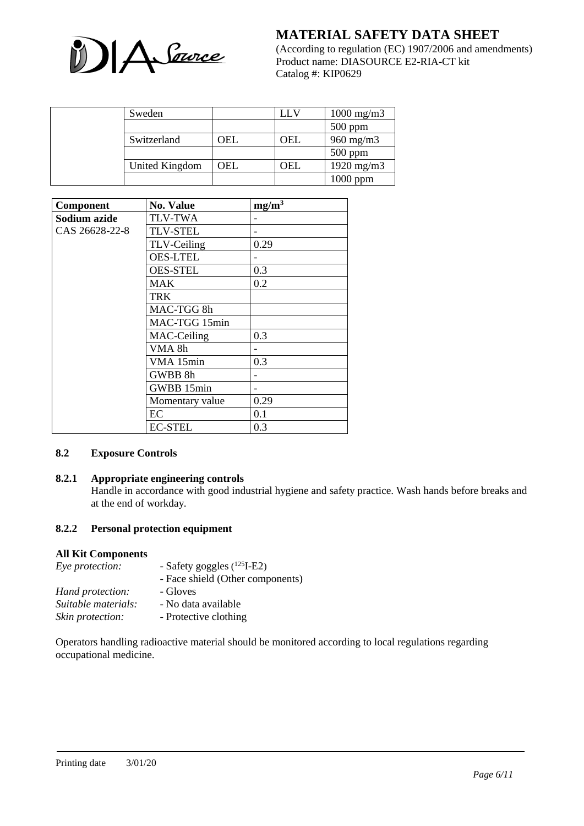

(According to regulation (EC) 1907/2006 and amendments) Product name: DIASOURCE E2-RIA-CT kit Catalog #: KIP0629

| Sweden         |     | ŦЛ  | $1000 \text{ mg/m}$ 3 |
|----------------|-----|-----|-----------------------|
|                |     |     | $500$ ppm             |
| Switzerland    | OEL | OEL | $960$ mg/m $3$        |
|                |     |     | $500$ ppm             |
| United Kingdom | OEL | OEL | 1920 mg/m $3$         |
|                |     |     | $1000$ ppm            |

| Component      | <b>No. Value</b> | $mg/m^3$ |
|----------------|------------------|----------|
| Sodium azide   | <b>TLV-TWA</b>   |          |
| CAS 26628-22-8 | <b>TLV-STEL</b>  |          |
|                | TLV-Ceiling      | 0.29     |
|                | <b>OES-LTEL</b>  |          |
|                | <b>OES-STEL</b>  | 0.3      |
|                | <b>MAK</b>       | 0.2      |
|                | TRK              |          |
|                | MAC-TGG 8h       |          |
|                | MAC-TGG 15min    |          |
|                | MAC-Ceiling      | 0.3      |
|                | VMA 8h           |          |
|                | VMA 15min        | 0.3      |
|                | GWBB 8h          |          |
|                | GWBB 15min       |          |
|                | Momentary value  | 0.29     |
|                | EC               | 0.1      |
|                | <b>EC-STEL</b>   | 0.3      |

#### **8.2 Exposure Controls**

## **8.2.1 Appropriate engineering controls**

Handle in accordance with good industrial hygiene and safety practice. Wash hands before breaks and at the end of workday.

#### **8.2.2 Personal protection equipment**

#### **All Kit Components**

| Eye protection:     | - Safety goggles $(^{125}I-E2)$  |
|---------------------|----------------------------------|
|                     | - Face shield (Other components) |
| Hand protection:    | - Gloves                         |
| Suitable materials: | - No data available              |
| Skin protection:    | - Protective clothing            |

Operators handling radioactive material should be monitored according to local regulations regarding occupational medicine.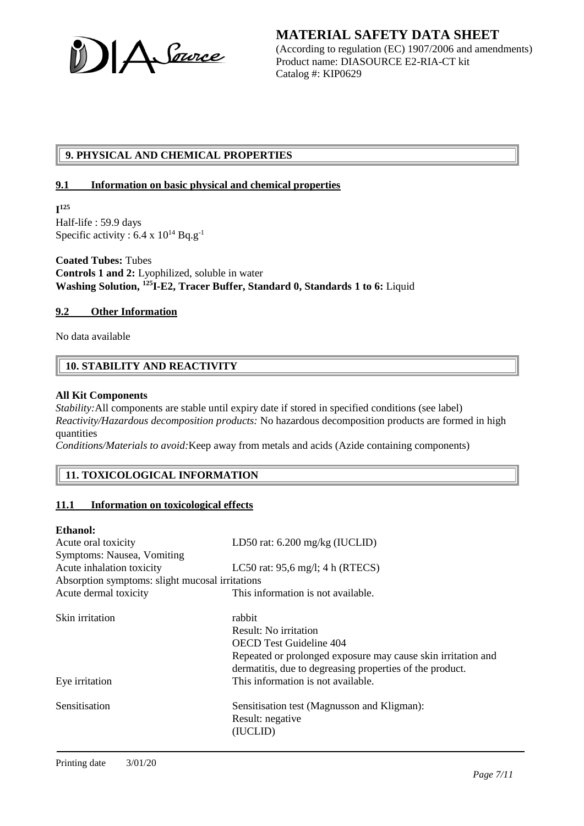A Source

**MATERIAL SAFETY DATA SHEET** (According to regulation (EC) 1907/2006 and amendments) Product name: DIASOURCE E2-RIA-CT kit Catalog #: KIP0629

# **9. PHYSICAL AND CHEMICAL PROPERTIES**

#### **9.1 Information on basic physical and chemical properties**

**I 125** Half-life : 59.9 days Specific activity :  $6.4 \times 10^{14}$  Bq.g<sup>-1</sup>

**Coated Tubes:** Tubes **Controls 1 and 2:** Lyophilized, soluble in water **Washing Solution, <sup>125</sup>I-E2, Tracer Buffer, Standard 0, Standards 1 to 6:** Liquid

#### **9.2 Other Information**

No data available

# **10. STABILITY AND REACTIVITY**

#### **All Kit Components**

*Stability:*All components are stable until expiry date if stored in specified conditions (see label) *Reactivity/Hazardous decomposition products:* No hazardous decomposition products are formed in high quantities

*Conditions/Materials to avoid:*Keep away from metals and acids (Azide containing components)

# **11. TOXICOLOGICAL INFORMATION**

## **11.1 Information on toxicological effects**

#### **Ethanol:**

| Acute oral toxicity                             | LD50 rat: $6.200$ mg/kg (IUCLID)                             |
|-------------------------------------------------|--------------------------------------------------------------|
| Symptoms: Nausea, Vomiting                      |                                                              |
| Acute inhalation toxicity                       | LC50 rat: $95,6$ mg/l; 4 h (RTECS)                           |
| Absorption symptoms: slight mucosal irritations |                                                              |
| Acute dermal toxicity                           | This information is not available.                           |
| Skin irritation                                 | rabbit                                                       |
|                                                 | Result: No irritation                                        |
|                                                 | <b>OECD Test Guideline 404</b>                               |
|                                                 | Repeated or prolonged exposure may cause skin irritation and |
|                                                 | dermatitis, due to degreasing properties of the product.     |
| Eye irritation                                  | This information is not available.                           |
| Sensitisation                                   | Sensitisation test (Magnusson and Kligman):                  |
|                                                 | Result: negative                                             |
|                                                 | (IUCLID)                                                     |
|                                                 |                                                              |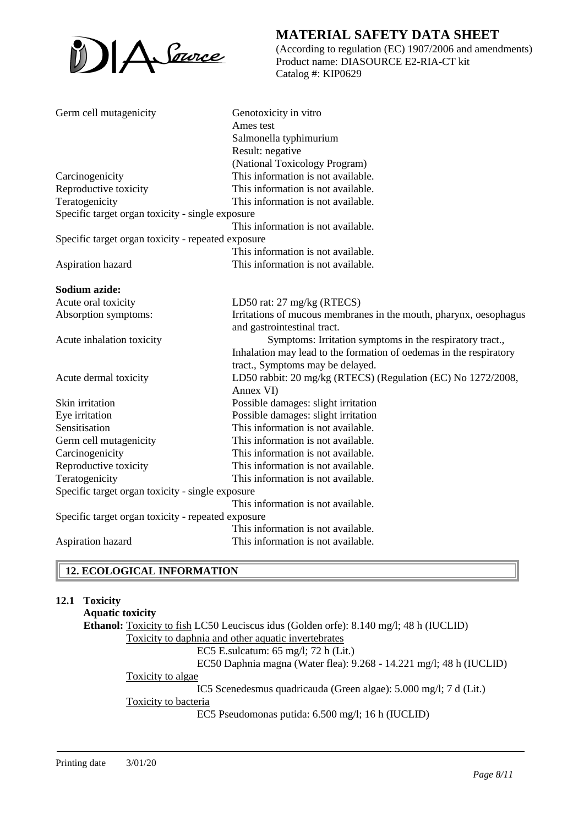

(According to regulation (EC) 1907/2006 and amendments) Product name: DIASOURCE E2-RIA-CT kit Catalog #: KIP0629

| Germ cell mutagenicity                             | Genotoxicity in vitro                                              |  |
|----------------------------------------------------|--------------------------------------------------------------------|--|
|                                                    | Ames test                                                          |  |
|                                                    | Salmonella typhimurium                                             |  |
|                                                    | Result: negative                                                   |  |
|                                                    | (National Toxicology Program)                                      |  |
| Carcinogenicity                                    | This information is not available.                                 |  |
| Reproductive toxicity                              | This information is not available.                                 |  |
| Teratogenicity                                     | This information is not available.                                 |  |
| Specific target organ toxicity - single exposure   |                                                                    |  |
|                                                    | This information is not available.                                 |  |
| Specific target organ toxicity - repeated exposure |                                                                    |  |
|                                                    | This information is not available.                                 |  |
| Aspiration hazard                                  | This information is not available.                                 |  |
| Sodium azide:                                      |                                                                    |  |
| Acute oral toxicity                                | LD50 rat: $27 \text{ mg/kg}$ (RTECS)                               |  |
| Absorption symptoms:                               | Irritations of mucous membranes in the mouth, pharynx, oesophagus  |  |
|                                                    | and gastrointestinal tract.                                        |  |
| Acute inhalation toxicity                          | Symptoms: Irritation symptoms in the respiratory tract.,           |  |
|                                                    | Inhalation may lead to the formation of oedemas in the respiratory |  |
|                                                    | tract., Symptoms may be delayed.                                   |  |
| Acute dermal toxicity                              | LD50 rabbit: 20 mg/kg (RTECS) (Regulation (EC) No 1272/2008,       |  |
|                                                    | Annex VI)                                                          |  |
| Skin irritation                                    | Possible damages: slight irritation                                |  |
| Eye irritation                                     | Possible damages: slight irritation                                |  |
| Sensitisation                                      | This information is not available.                                 |  |
| Germ cell mutagenicity                             | This information is not available.                                 |  |
| Carcinogenicity                                    | This information is not available.                                 |  |
| Reproductive toxicity                              | This information is not available.                                 |  |
| Teratogenicity                                     | This information is not available.                                 |  |
| Specific target organ toxicity - single exposure   |                                                                    |  |
|                                                    | This information is not available.                                 |  |
| Specific target organ toxicity - repeated exposure |                                                                    |  |
|                                                    | This information is not available.                                 |  |
| Aspiration hazard                                  | This information is not available.                                 |  |
|                                                    |                                                                    |  |

# **12. ECOLOGICAL INFORMATION**

#### **12.1 Toxicity**

**Aquatic toxicity Ethanol:** Toxicity to fish LC50 Leuciscus idus (Golden orfe): 8.140 mg/l; 48 h (IUCLID) Toxicity to daphnia and other aquatic invertebrates EC5 E.sulcatum: 65 mg/l; 72 h (Lit.) EC50 Daphnia magna (Water flea): 9.268 - 14.221 mg/l; 48 h (IUCLID) Toxicity to algae IC5 Scenedesmus quadricauda (Green algae): 5.000 mg/l; 7 d (Lit.) Toxicity to bacteria EC5 Pseudomonas putida: 6.500 mg/l; 16 h (IUCLID)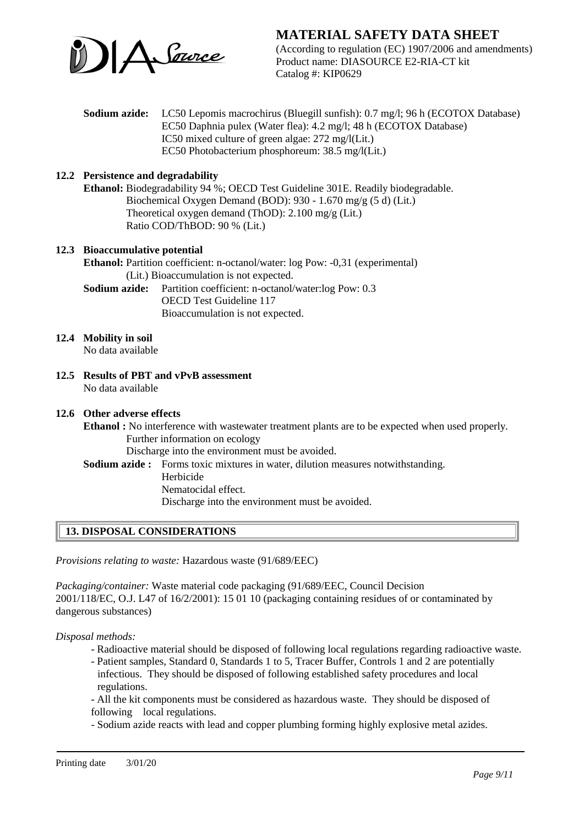

(According to regulation (EC) 1907/2006 and amendments) Product name: DIASOURCE E2-RIA-CT kit Catalog #: KIP0629

**Sodium azide:** LC50 Lepomis macrochirus (Bluegill sunfish): 0.7 mg/l; 96 h (ECOTOX Database) EC50 Daphnia pulex (Water flea): 4.2 mg/l; 48 h (ECOTOX Database) IC50 mixed culture of green algae: 272 mg/l(Lit.) EC50 Photobacterium phosphoreum: 38.5 mg/l(Lit.)

#### **12.2 Persistence and degradability**

**Ethanol:** Biodegradability 94 %; OECD Test Guideline 301E. Readily biodegradable. Biochemical Oxygen Demand (BOD): 930 - 1.670 mg/g (5 d) (Lit.) Theoretical oxygen demand (ThOD): 2.100 mg/g (Lit.) Ratio COD/ThBOD: 90 % (Lit.)

# **12.3 Bioaccumulative potential**

**Ethanol:** Partition coefficient: n-octanol/water: log Pow: -0,31 (experimental) (Lit.) Bioaccumulation is not expected.

**Sodium azide:** Partition coefficient: n-octanol/water:log Pow: 0.3 OECD Test Guideline 117 Bioaccumulation is not expected.

### **12.4 Mobility in soil**

No data available

**12.5 Results of PBT and vPvB assessment** No data available

#### **12.6 Other adverse effects**

**Ethanol :** No interference with wastewater treatment plants are to be expected when used properly. Further information on ecology

Discharge into the environment must be avoided.

**Sodium azide :** Forms toxic mixtures in water, dilution measures notwithstanding.

Herbicide

Nematocidal effect.

Discharge into the environment must be avoided.

# **13. DISPOSAL CONSIDERATIONS**

*Provisions relating to waste:* Hazardous waste (91/689/EEC)

*Packaging/container:* Waste material code packaging (91/689/EEC, Council Decision 2001/118/EC, O.J. L47 of 16/2/2001): 15 01 10 (packaging containing residues of or contaminated by dangerous substances)

*Disposal methods:*

- Radioactive material should be disposed of following local regulations regarding radioactive waste.
- Patient samples, Standard 0, Standards 1 to 5, Tracer Buffer, Controls 1 and 2 are potentially infectious. They should be disposed of following established safety procedures and local regulations.

- All the kit components must be considered as hazardous waste. They should be disposed of following local regulations.

- Sodium azide reacts with lead and copper plumbing forming highly explosive metal azides.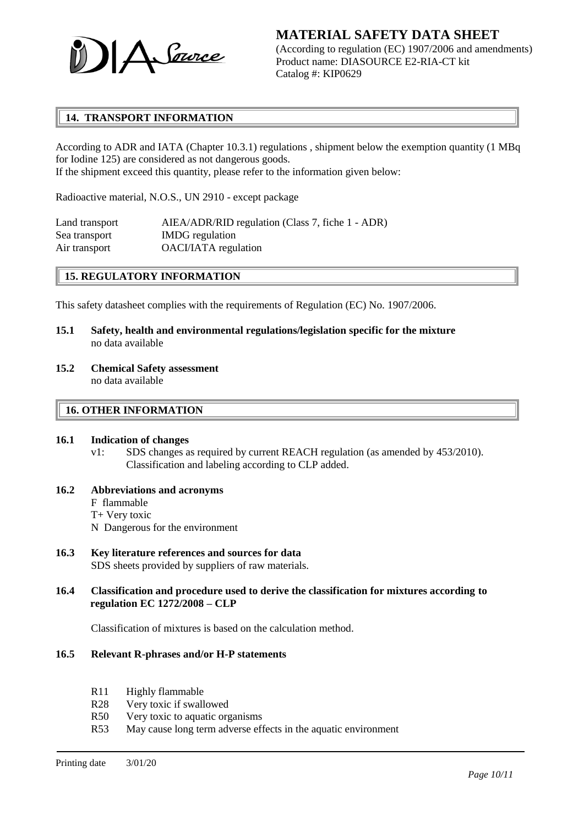

(According to regulation (EC) 1907/2006 and amendments) Product name: DIASOURCE E2-RIA-CT kit Catalog #: KIP0629

# **14. TRANSPORT INFORMATION**

According to ADR and IATA (Chapter 10.3.1) regulations , shipment below the exemption quantity (1 MBq for Iodine 125) are considered as not dangerous goods. If the shipment exceed this quantity, please refer to the information given below:

Radioactive material, N.O.S., UN 2910 - except package

| Land transport | AIEA/ADR/RID regulation (Class 7, fiche 1 - ADR) |
|----------------|--------------------------------------------------|
| Sea transport  | <b>IMDG</b> regulation                           |
| Air transport  | OACI/IATA regulation                             |

## **15. REGULATORY INFORMATION**

This safety datasheet complies with the requirements of Regulation (EC) No. 1907/2006.

- **15.1 Safety, health and environmental regulations/legislation specific for the mixture** no data available
- **15.2 Chemical Safety assessment** no data available

#### **16. OTHER INFORMATION**

#### **16.1 Indication of changes**

- v1: SDS changes as required by current REACH regulation (as amended by 453/2010). Classification and labeling according to CLP added.
- **16.2 Abbreviations and acronyms**
	- F flammable
	- T+ Very toxic
	- N Dangerous for the environment
- **16.3 Key literature references and sources for data** SDS sheets provided by suppliers of raw materials.
- **16.4 Classification and procedure used to derive the classification for mixtures according to regulation EC 1272/2008 – CLP**

Classification of mixtures is based on the calculation method.

- **16.5 Relevant R-phrases and/or H-P statements**
	- R11 Highly flammable
	- R28 Very toxic if swallowed
	- R50 Very toxic to aquatic organisms
	- R53 May cause long term adverse effects in the aquatic environment